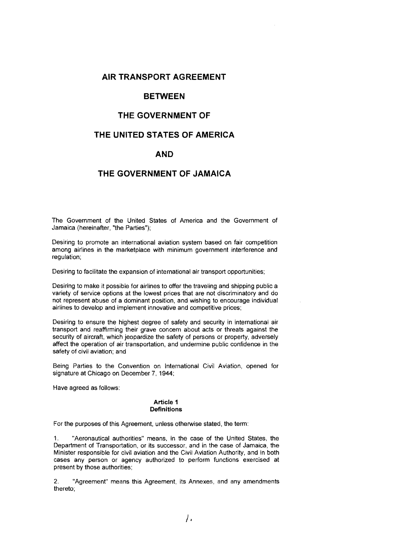## **AIR TRANSPORT AGREEMENT**

## **BETWEEN**

## **THE GOVERNMENT OF**

# **THE UNITED STATES OF AMERICA**

## **AND**

## **THE GOVERNMENT OF JAMAICA**

The Government of the United States of America and the Government of Jamaica (hereinafter, "the Parties");

Desiring to promote an international aviation system based on fair competition among airlines in the marketplace with minimum government interference and regulation;

Desiring to facilitate the expansion of international air transport opportunities;

Desiring to make it possible for airlines to offer the traveling and shipping public a variety of service options at the lowest prices that are not discriminatory and do not represent abuse of a dominant position, and wishing to encourage individual airlines to develop and implement innovative and competitive prices;

DeSiring to ensure the highest degree of safety and security in international air transport and reaffirming their grave concern about acts or threats against the security of aircraft, which jeopardize the safety of persons or property, adversely affect the operation of air transportation, and undermine public confidence in the safety of civil aviation; and

Being Parties to the Convention on International Civil Aviation, opened for signature at Chicago on December 7, 1944;

Have agreed as follows:

#### Article 1 **Definitions**

For the purposes of this Agreement, unless otherwise stated, the term:

1. "Aeronautical authorities" means, in the case of the United States, the Department of Transportation, or its successor, and in the case of Jamaica, the Minister responsible for civil aviation and the Civil Aviation Authority, and in both cases any person or agency authorized to perform functions exercised at present by those authorities;

2. "Agreement" means this Agreement, its Annexes, and any amendments thereto;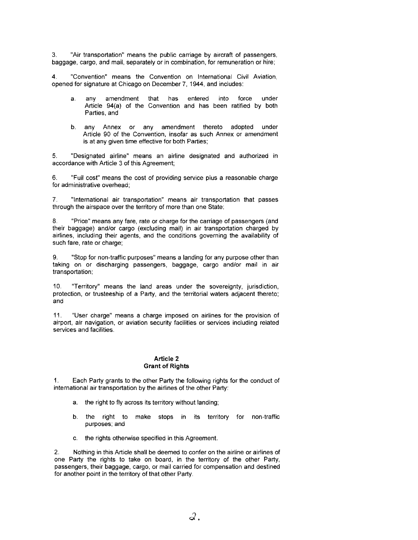3. "Air transportation" means the public carriage by aircraft of passengers, baggage, cargo, and mail, separately or in combination, for remuneration or hire;

4. "Convention" means the Convention on International Civil Aviation, opened for signature at Chicago on December 7, 1944, and includes:

- a. any amendment that has entered into force under Article 94(a) of the Convention and has been ratified by both Parties, and
- b. any Annex or any amendment thereto adopted under Article 90 of the Convention, insofar as such Annex or amendment is at any given time effective for both Parties;

5. "DeSignated airline" means an airline designated and authorized in accordance with Article 3 of this Agreement;

6. "Full cost" means the cost of providing service plus a reasonable charge for administrative overhead;

7. "International air transportation" means air transportation that passes through the airspace over the territory of more than one State;

8. "Price" means any fare, rate or charge for the carriage of passengers (and their baggage) and/or cargo (excluding mail) in air transportation charged by airlines, including their agents, and the conditions governing the availability of such fare, rate or charge;

9. "Stop for non-traffic purposes" means a landing for any purpose other than taking on or discharging passengers, baggage, cargo and/or mail in air transportation;

10. "Territory" means the land areas under the sovereignty, jurisdiction, protection, or trusteeship of a Party, and the territorial waters adjacent thereto; and

11 . "User charge" means a charge imposed on airlines for the provision of airport, air navigation, or aviation security facilities or services including related services and facilities.

#### **Article 2 Grant of Rights**

1. Each Party grants to the other Party the following rights for the conduct of international air transportation by the airlines of the other Party:

- a. the right to fly across its territory without landing;
- b. the right to make stops in its territory for non-traffic purposes; and
- c. the rights otherwise specified in this Agreement.

2. Nothing in this Article shall be deemed to confer on the airline or airlines of one Party the rights to take on board, in the territory of the other Party, passengers, their baggage, cargo, or mail carried for compensation and destined for another point in the territory of that other Party.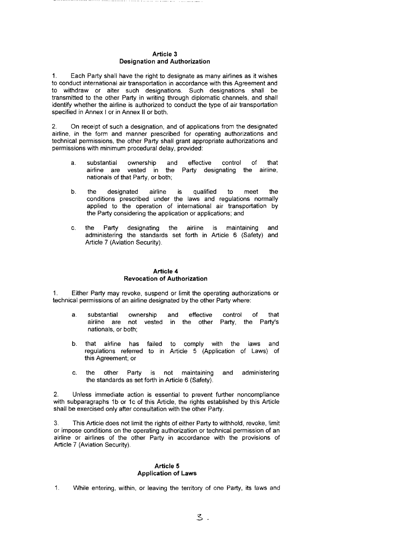#### **Article** 3 **Designation and Authorization**

1. Each Party shall have the right to designate as many airlines as it wishes to conduct international air transportation in accordance with this Agreement and to withdraw or alter such designations. Such designations shall be transmitted to the other Party in writing through diplomatic channels, and shall identify whether the airline is authorized to conduct the type of air transportation specified in Annex I or in Annex II or both.

2. On receipt of such a designation, and of applications from the designated airline, in the form and manner prescribed for operating authorizations and technical permisSions, the other Party shall grant appropriate authorizations and permissions with minimum procedural delay, provided:

- a. substantial ownership and effective control of that airline are vested in the Party designating the airline, nationals of that Party, or both;
- b. the designated airline is qualified to meet the conditions prescribed under the laws and regulations normally applied to the operation of international air transportation by the Party considering the application or applications; and
- c. the Party designating the airline is maintaining and administering the standards set forth in Article 6 (Safety) and Article 7 (Aviation Security).

#### **Article 4 Revocation of Authorization**

1. Either Party may revoke, suspend or limit the operating authorizations or technical permissions of an airline designated by the other Party where:

- a. substantial ownership and effective control of that airline are not vested in the other Party, the Party's nationals, or both;
- b. that airline has failed to comply with the laws and regulations referred to in Article 5 (Application of Laws) of this Agreement; or
- c. the other Party is not maintaining and administering the standards as set forth in Article 6 (Safety).

2. Unless immediate action is essential to prevent further noncompliance with subparagraphs 1b or 1c of this Article, the rights established by this Article shall be exercised only after consultation with the other Party.

3. This Article does not limit the rights of either Party to withhold, revoke, limit or impose conditions on the operating authorization or technical permission of an airline or airlines of the other Party in accordance with the provisions of Article 7 (Aviation Security).

#### **Article 5 Application of Laws**

1. While entering, within, or leaving the territory of one Party, its laws and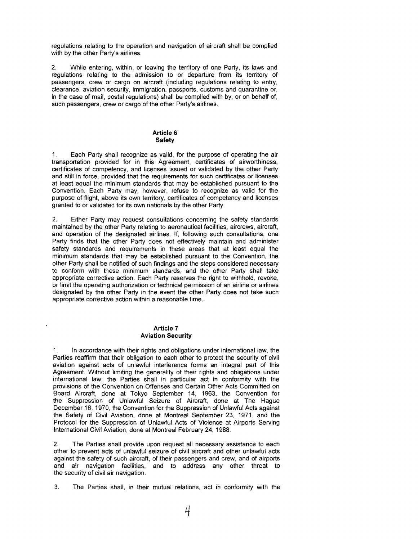regulations relating to the operation and navigation of aircraft shall be complied with by the other Party's airlines,

2, While entering, within, or leaving the territory of one Party, its laws and regulations relating to the admission to or departure from its territory of passengers, crew or cargo on aircraft (including regulations relating to entry, clearance, aviation security, immigration, passports, customs and quarantine or, in the case of mail, postal regulations) shall be complied with by, or on behalf of, such passengers, crew or cargo of the other Party's airlines,

#### **Article 6 Safety**

1, Each Party shall recognize as valid, for the purpose of operating the air transportation provided for in this Agreement, certificates of airworthiness, certificates of competency, and licenses issued or validated by the other Party and still in force, provided that the requirements for such certificates or licenses at least equal the minimum standards that may be established pursuant to the Convention. Each Party may, however, refuse to recognize as valid for the purpose of flight, above its own territory, certificates of competency and licenses granted to or validated for its own nationals by the other Party.

2, Either Party may request consultations concerning the safety standards maintained by the other Party relating to aeronautical facilities, aircrews, aircraft, and operation of the designated airlines. If, following such consultations, one Party finds that the other Party does not effectively maintain and administer safety standards and requirements in these areas that at least equal the minimum standards that may be established pursuant to the Convention, the other Party shall be notified of such findings and the steps considered necessary to conform with these minimum standards, and the other Party shall take appropriate corrective action. Each Party reserves the right to withhold, revoke, or limit the operating authorization or technical permission of an airline or airlines designated by the other Party in the event the other Party does not take such appropriate corrective action within a reasonable time.

#### **Article 7 Aviation Security**

1. In accordance with their rights and obligations under international law, the Parties reaffirm that their obligation to each other to protect the security of civil aviation against acts of unlawful interference forms an integral part of this Agreement. Without limiting the generality of their rights and obligations under international law, the Parties shall in particular act in conformity with the provisions of the Convention on Offenses and Certain Other Acts Committed on Board Aircraft, done at Tokyo September 14, 1963, the Convention for the Suppression of Unlawful Seizure of Aircraft, done at The Hague December 16, 1970, the Convention for the Suppression of Unlawful Acts against the Safety of Civil Aviation, done at Montreal September 23, 1971, and the Protocol for the Suppression of Unlawful Acts of Violence at Airports Serving International Civil AViation, done at Montreal February 24, 1988,

2. The Parties shall provide upon request all necessary assistance to each other to prevent acts of unlawful seizure of civil aircraft and other unlawful acts against the safety of such aircraft, of their passengers and crew, and of airports and air navigation facilities, and to address any other threat to the security of civil air navigation.

3, The Parties shall, in their mutual relations, act in conformity with the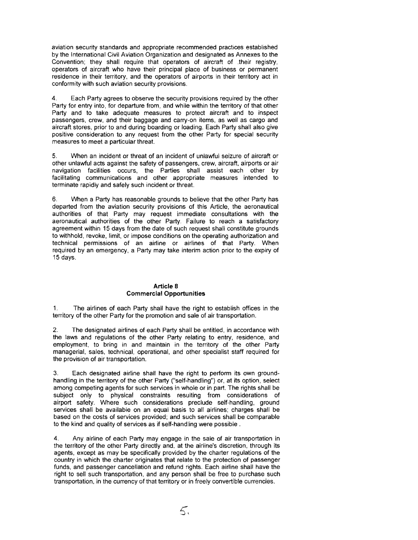aviation security standards and appropriate recommended practices established by the International Civil Aviation Organization and designated as Annexes to the Convention; they shall require that operators of aircraft of .their registry, operators of aircraft who have their principal place of business or permanent residence in their territory, and the operators of airports in their territory act in conformity with such aviation security provisions.

4. Each Party agrees to observe the security provisions required by the other Party for entry into, for departure from, and while within the territory of that other Party and to take adequate measures to protect aircraft and to inspect passengers, crew, and their baggage and carry-on items, as well as cargo and aircraft stores, prior to and during boarding or loading. Each Party shall also give positive consideration to any request from the other Party for special security measures to meet a particular threat.

5. When an incident or threat of an incident of unlawful seizure of aircraft or other unlawful acts against the safety of passengers, crew, aircraft, airports or air navigation facilities occurs, the Parties shall assist each other by facilitating communications and other appropriate measures intended to terminate rapidly and safely such incident or threat.

6. When a Party has reasonable grounds to believe that the other Party has departed from the aviation security provisions of this Article, the aeronautical authorities of that Party may request immediate consultations with the aeronautical authorities of the other Party, Failure to reach a satisfactory agreement within 15 days from the date of such request shall constitute grounds to withhold, revoke, limit, or impose conditions on the operating authorization and technical permissions of an airline or airlines of that Party. When required by an emergency, a Party may take interim action prior to the expiry of 15 days.

## **Article 8 Commercial Opportunities**

1, The airlines of each Party shall have the right to establish offices in the territory of the other Party for the promotion and sale of air transportation.

2. The designated airlines of each Party shall be entitled, in accordance with the laws and regulations of the other Party relating to entry, residence, and employment, to bring in and maintain in the territory of the other Party managerial, sales, technical, operational, and other specialist staff required for the provision of air transportation.

3. Each deSignated airline shall have the right to perform its own groundhandling in the territory of the other Party ("self-handling") or, at its option, select among competing agents for such services in whole or in part, The rights shall be subject only to physical constraints resulting from considerations of airport safety. Where such considerations preclude self-handling, ground services shall be available on an equal basis to all airlines; charges shall be based on the costs of services provided; and such services shall be comparable to the kind and quality of services as if self-handling were possible.

4. Any airline of each Party may engage in the sale of air transportation in the territory of the other Party directly and, at the airline's discretion, through its agents, except as may be specifically provided by the charter regulations of the country in which the charter originates that relate to the protection of passenger funds, and passenger cancellation and refund rights. Each airline shall have the right to sell such transportation, and any person shall be free to purchase such transportation, in the currency of that territory or in freely convertible currencies.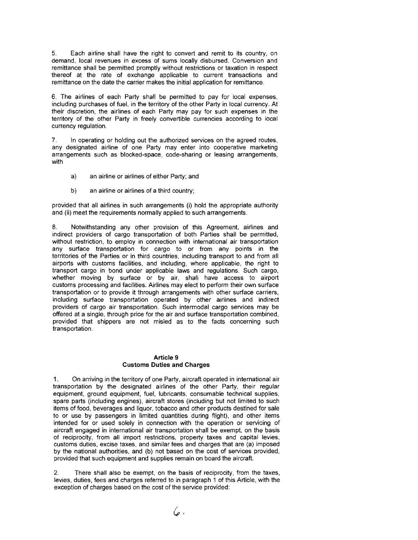5. Each airline shall have the right to convert and remit to its country, on demand, local revenues in excess of sums locally disbursed. Conversion and remittance shall be permitted promptly without restrictions or taxation in respect thereof at the rate of exchange applicable to current transactions and remittance on the date the carrier makes the initial application for remittance,

6. The airlines of each Party shall be permitted to pay for local expenses, including purchases of fuel, in the territory of the other Party in local currency. At their discretion, the airlines of each Party may pay for such expenses in the territory of the other Party in freely convertible currencies according to local currency regulation.

7. In operating or holding out the authorized services on the agreed routes, any designated airline of one Party may enter into cooperative marketing arrangements such as blocked-space, code-sharing or leasing arrangements, with

- a) an airline or airlines of either Party; and
- b) an airline or airlines of a third country;

provided that all airlines in such arrangements (i) hold the appropriate authority and (ii) meet the requirements normally applied to such arrangements,

8. Notwithstanding any other provision of this Agreement, airlines and indirect providers of cargo transportation of both Parties shall be permitted, without restriction, to employ in connection with international air transportation any surface transportation for cargo to or from any points in the territories of the Parties or in third countries, including transport to and from all airports with customs facilities, and including, where applicable, the right to transport cargo in bond under applicable laws and regulations. Such cargo, whether moving by surface or by air, shall have access to airport customs processing and facilities. Airlines may elect to perform their own surface transportation or to provide it through arrangements with other surface carriers, including surface transportation operated by other airlines and indirect providers of cargo air transportation. Such intermodal cargo services may be offered at a single, through price for the air and surface transportation combined, provided that shippers are not misled as to the facts concerning such transportation.

## **Article 9 Customs Duties and Charges**

1. On arriving in the territory of one Party, aircraft operated in international air transportation by the designated airlines of the other Party, their regular equipment, ground equipment, fuel, lubricants, consumable technical supplies, spare parts (including engines), aircraft stores (including but not limited to such items of food, beverages and liquor, tobacco and other products destined for sale to or use by passengers in limited quantities during flight), and other items intended for or used solely in connection with the operation or servicing of aircraft engaged in international air transportation shall be exempt, on the basis of reciprocity, from all import restrictions, property taxes and capital levies, customs duties, excise taxes, and similar fees and charges that are (a) imposed by the national authorities, and (b) not based on the cost of services provided, provided that such equipment and supplies remain on board the aircraft,

2, There shall also be exempt, on the basis of reciprocity, from the taxes, levies, duties, fees and charges referred to in paragraph 1 of this Article, with the exception of charges based on the cost of the service provided: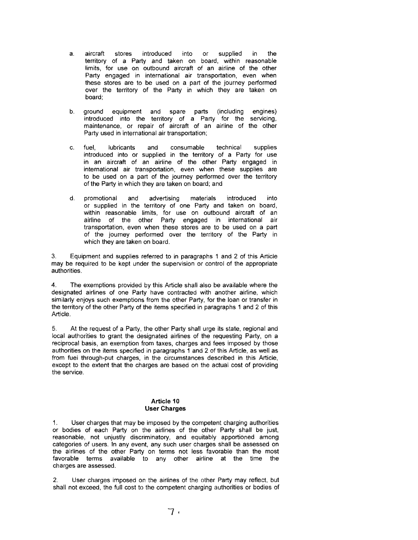- a. aircraft stores introduced into or supplied in the territory of a Party and taken on board, within reasonable limits, for use on outbound aircraft of an airline of the other Party engaged in international air transportation, even when these stores are to be used on a part of the journey performed over the territory of the Party in which they are taken on board;
- b. ground equipment and spare parts (including engines) introduced into the territory of a Party for the servicing, maintenance, or repair of aircraft of an airline of the other Party used in international air transportation;
- c. fuel, lubricants and consumable technical supplies introduced into or supplied in the territory of a Party for use in an aircraft of an airline of the other Party engaged in international air transportation, even when these supplies are to be used on a part of the journey performed over the territory of the Party in which they are taken on board; and
- d. promotional and advertising materials introduced into or supplied in the territory of one Party and taken on board, within reasonable limits, for use on outbound aircraft of an airline of the other Party engaged in international air transportation, even when these stores are to be used on a part of the journey performed over the territory of the Party in which they are taken on board.

3. Equipment and supplies referred to in paragraphs 1 and 2 of this Article may be required to be kept under the supervision or control of the appropriate authorities.

4. The exemptions provided by this Article shall also be available where the designated airlines of one Party have contracted with another airline, which similarly enjoys such exemptions from the other Party, for the loan or transfer in the territory of the other Party of the items specified in paragraphs 1 and 2 of this Article.

5. At the request of a Party, the other Party shall urge its state, regional and local authorities to grant the designated airlines of the requesting Party, on a reciprocal basis, an exemption from taxes, charges and fees imposed by those authorities on the items specified in paragraphs 1 and 2 of this Article, as well as from fuel through-put charges, in the circumstances described in this Article, except to the extent that the charges are based on the actual cost of providing the service.

## Article **10 User Charges**

1. User charges that may be imposed by the competent charging authorities or bodies of each Party on the airlines of the other Party shall be just, reasonable, not unjustly discriminatory, and equitably apportioned among categories of users. In any event, any such user charges shall be assessed on the airlines of the other Party on terms not less favorable than the most favorable terms available to any other airline at the time the charges are assessed.

2. User charges imposed on the airlines of the other Party may reflect, but shall not exceed, the full cost to the competent charging authorities or bodies of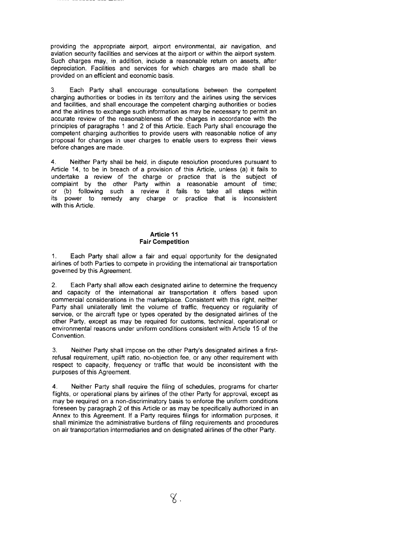providing the appropriate airport, airport environmental, air navigation, and aviation security facilities and services at the airport or within the airport system. Such charges may, in addition, include a reasonable return on assets, after depreciation. Facilities and services for which charges are made shall be provided on an efficient and economic basis.

3. Each Party shall encourage consultations between the competent charging authorities or bodies in its territory and the airlines using the services and facilities, and shall encourage the competent charging authorities or bodies and the airlines to exchange such information as may be necessary to permit an accurate review of the reasonableness of the charges in accordance with the principles of paragraphs 1 and 2 of this Article. Each Party shall encourage the competent charging authorities to provide users with reasonable notice of any proposal for changes in user charges to enable users to express their views before changes are made.

4. Neither Party shall be held, in dispute resolution procedures pursuant to Article 14, to be in breach of a provision of this Article, unless (a) it fails to undertake a review of the charge or practice that is the subject of complaint by the other Party within a reasonable amount of time; or (b) following such a review it fails to take all steps within its power to remedy any charge or practice that is inconsistent with this Article.

### **Article 11 Fair Competition**

1. Each Party shall allow a fair and equal opportunity for the designated airlines of both Parties to compete in providing the international air transportation governed by this Agreement.

2. Each Party shall allow each designated airline to determine the frequency and capacity of the international air transportation it offers based upon commercial considerations in the marketplace. Consistent with this right, neither Party shall unilaterally limit the volume of traffic, frequency or regularity of service, or the aircraft type or types operated by the designated airlines of the other Party, except as may be required for customs, technical, operational or environmental reasons under uniform conditions consistent with Article 15 of the Convention.

3. Neither Party shall impose on the other Party's designated airlines a firstrefusal requirement, uplift ratio, no-objection fee, or any other requirement with respect to capacity, frequency or traffic that would be inconsistent with the purposes of this Agreement.

4. Neither Party shall require the filing of schedules, programs for charter flights, or operational plans by airlines of the other Party for approval, except as may be required on a non-discriminatory basis to enforce the uniform conditions foreseen by paragraph 2 of this Article or as may be specifically authorized in an Annex to this Agreement. If a Party requires filings for information purposes, it shall minimize the administrative burdens of filing requirements and procedures on air transportation intermediaries and on designated airlines of the other Party.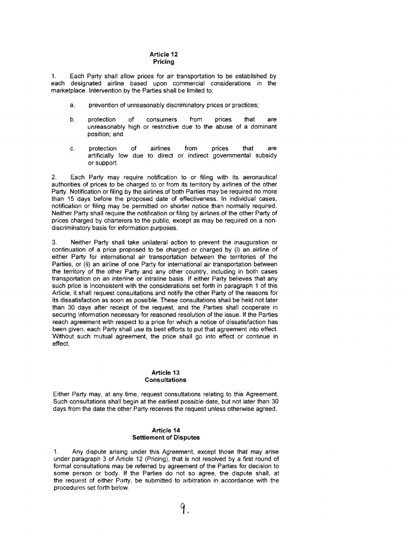### **Article 12 Pricing**

1. Each Party shalt allow prices for air transportation to be established by each marke tplace. Intervention by the Parties shall be limited to: designated airline based upon commercial considerations in the

- a. prevention of unreasonably discriminatory prices or practices;
- b. protection of consumers from prices that are unreasonably high or restrictive due to the abuse of a dominant position; and
- c. protection of airlines from prices that are artificially low due to direct or indirect governmental subsidy or support.

2. Each Party may require notification to or filing with its aeronautical authorities of prices to be charged to or from its territory by airlines of the other Party. Notification or filing by the airlines of both Parties may be required no more than 15 days before the proposed date of effectiveness. In individual cases, notification or filing may be permitted on shorter notice than normally required. Neither Party shall require the notification or filing by airlines of the other Party of prices charged by charterers to the public, except as may be required on a nondiscriminatory basis for information purposes.

3. Neither Party shall take unilateral action to prevent the inauguration or continuation of a price proposed to be charged or charged by (i) an airline of either Party for international air transportation between the territories of the Parties, or (ii) an airline of one Party for international air transportation between the territory of the other Party and any other country, including in both cases transportation on an interline or intraline basis. If either Party believes that any such price is inconsistent with the considerations set forth in paragraph 1 of this Article, it shall request consultations and notify the other Party of the reasons for its dissatisfaction as soon as possible. These consultations shall be held not later than 30 days after receipt of the request, and the Parties shall cooperate in securing information necessary for reasoned resolution of the issue. If the Parties reach agreement with respect to a price for which a notice of dissatisfaction has been given, each Party shall use its best efforts to put that agreement into effect. Without such mutual agreement, the price shall go into effect or continue in effect.

### **Article 13 Consultations**

Either Party may, at any time, request consultations relating to this Agreement. Such consultations shall begin at the earliest possible date, but not later than 30 days from the date the other Party receives the request unless otherwise agreed.

### **Article 14 Settlement of Disputes**

1. Any dispute arising under this Agreement, except those that may arise under paragraph 3 of Article 12 (Pricing), that is not resolved by a first round of formal consultations may be referred by agreement of the Parties for decision to some person or body. If the Parties do not so agree, the dispute shall, at the request of either Party, be submitted to arbitration in accordance with the procedures set forth below.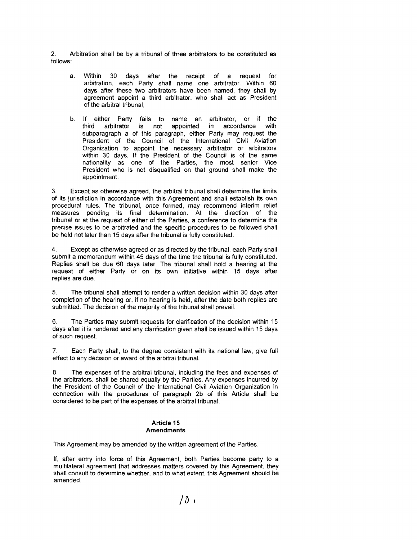2. Arbitration shall be by a tribunal of three arbitrators to be constituted as follows:

- a. Within 30 days after the receipt of a request for arbitration, each Party shall name one arbitrator. Within 60 days after these two arbitrators have been named, they shall by agreement appoint a third arbitrator, who shall act as President of the arbitral tribunal;
- b. If either Party fails to name an arbitrator, or if the third arbitrator is not appointed in accordance with accordance subparagraph a of this paragraph, either Party may request the President of the Council of the International Civil Aviation Organization to appoint the necessary arbitrator or arbitrators within 30 days. If the President of the Council is of the same nationality as one of the Parties, the most senior Vice President who is not disqualified on that ground shall make the appointment.

3. Except as otherwise agreed, the arbitral tribunal shall determine the limits of its jurisdiction in accordance with this Agreement and shall establish its own procedural rules. The tribunal, once formed, may recommend interim relief measures pending its final determination. At the direction of the tribunal or at the request of either of the Parties, a conference to determine the precise issues to be arbitrated and the specific procedures to be followed shall be held not later than 15 days after the tribunal is fully constituted.

4. Except as otherwise agreed or as directed by the tribunal, each Party shall submit a memorandum within 45 days of the time the tribunal is fully constituted. Replies shall be due 60 days later. The tribunal shall hold a hearing at the request of either Party or on its own initiative within 15 days after replies are due.

5. The tribunal shall attempt to render a written decision within 30 days after completion of the hearing or, if no hearing is held, after the date both replies are submitted. The decision of the majority of the tribunal shall prevail.

6. The Parties may submit requests for clarification of the decision within 15 days after it is rendered and any clarification given shall be issued within 15 days of such request.

7. Each Party shall, to the degree consistent with its national law, give full effect to any decision or award of the arbitral tribunal.

8. The expenses of the arbitral tribunal, including the fees and expenses of the arbitrators, shall be shared equally by the Parties. Any expenses incurred by the President of the Council of the International Civil Aviation Organization in connection with the procedures of paragraph 2b of this Article shall be considered to be part of the expenses of the arbitral tribunal.

#### **Article 15 Amendments**

This Agreement may be amended by the written agreement of the Parties.

If, after entry into force of this Agreement, both Parties become party to a multilateral agreement that addresses matters covered by this Agreement, they shall consult to determine whether, and to what extent, this Agreement should be amended.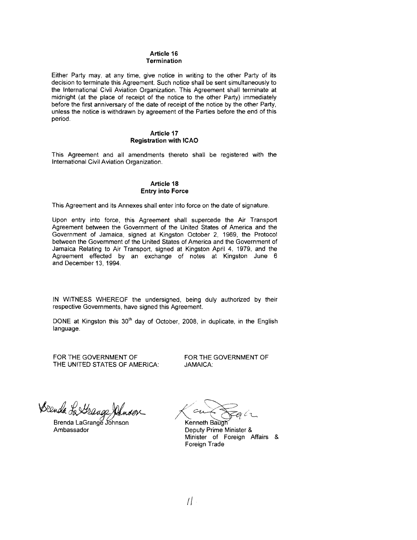## Article 16 Termination

Either Party may, at any time, give notice in writing to the other Party of its decision to terminate this Agreement. Such notice shall be sent simultaneously to the International Civil Aviation Organization. This Agreement shall terminate at midnight (at the place of receipt of the notice to the other Party) immediately before the first anniversary of the date of receipt of the notice by the other Party, unless the notice is withdrawn by agreement of the Parties before the end of this period.

### Article 17 Registration with ICAO

This Agreement and all amendments thereto shall be registered with the International Civil Aviation Organization.

### Article 18 Entry into Force

This Agreement and its Annexes shall enter into force on the date of signature.

Upon entry into force, this Agreement shall supercede the Air Transport Agreement between the Government of the United States of America and the Government of Jamaica, signed at Kingston October 2, 1969, the Protocol between the Government of the United States of America and the Government of Jamaica Relating to Air Transport, signed at Kingston April 4, 1979, and the Agreement effected by an exchange of notes at Kingston June 6 and December 13,1994,

IN WITNESS WHEREOF the undersigned, being duly authorized by their respective Governments, have signed this Agreement.

DONE at Kingston this 30<sup>th</sup> day of October, 2008, in duplicate, in the English language.

FOR THE GOVERNMENT OF FOR THE GOVERNMENT OF FOR THE GOVERNMENT OF THE UNITED STATES OF AMERICA:

Wenda fa Weauge Jahnder<br>Brenda LaGrange Johnson<br>Ambassador Deputy Prime Minister &

Minister of Foreign Affairs & Foreign Trade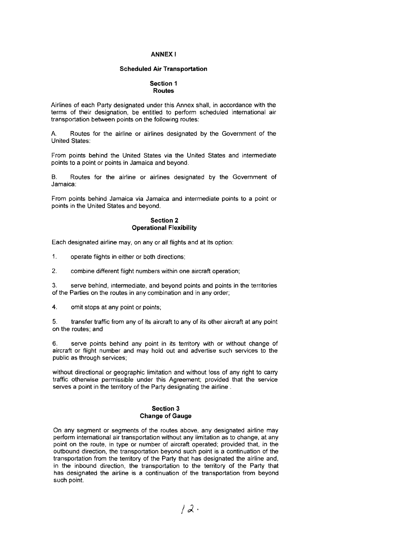#### ANNEX I

#### Scheduled Air Transportation

#### Section 1 Routes

Airlines of each Party designated under this Annex shall, in accordance with the terms of their designation, be entitled to perform scheduled international air transportation between points on the following routes:

A Routes for the airline or airlines designated by the Government of the United States:

From points behind the United States via the United States and intermediate points to a point or points in Jamaica and beyond.

B. Routes for the airline or airlines designated by the Government of Jamaica:

From points behind Jamaica via Jamaica and intermediate points to a point or points in the United States and beyond.

### Section 2 Operational Flexibility

Each designated airline may, on any or all flights and at its option:

1. operate flights in either or both directions;

2. combine different flight numbers within one aircraft operation;

3. serve behind, intermediate, and beyond points and points in the territories of the Parties on the routes in any combination and in any order;

4. omit stops at any point or points;

5. transfer traffic from any of its aircraft to any of its other aircraft at any point on the routes; and

6. serve points behind any point in its territory with or without change of aircraft or flight number and may hold out and advertise such services to the public as through services;

without directional or geographic limitation and without loss of any right to carry traffic otherwise permissible under this Agreement; provided that the service serves a point in the territory of the Party designating the airline.

### Section 3 Change of Gauge

On any segment or segments of the routes above, any designated airline may perform international air transportation without any limitation as to change, at any point on the route. in type or number of aircraft operated; provided that, in the outbound direction, the transportation beyond such point is a continuation of the transportation from the territory of the Party that has designated the airline and. in the inbound direction, the transportation to the territory of the Party that has designated the airline is a continuation of the transportation from beyond such point.